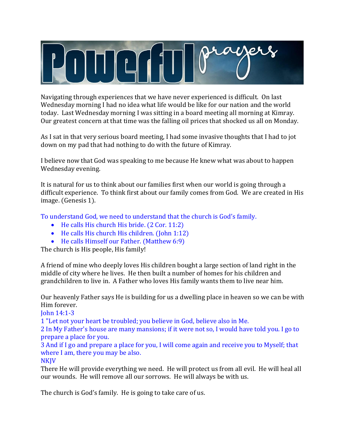

Navigating through experiences that we have never experienced is difficult. On last Wednesday morning I had no idea what life would be like for our nation and the world today. Last Wednesday morning I was sitting in a board meeting all morning at Kimray. Our greatest concern at that time was the falling oil prices that shocked us all on Monday.

As I sat in that very serious board meeting, I had some invasive thoughts that I had to jot down on my pad that had nothing to do with the future of Kimray.

I believe now that God was speaking to me because He knew what was about to happen Wednesday evening.

It is natural for us to think about our families first when our world is going through a difficult experience. To think first about our family comes from God. We are created in His image. (Genesis 1).

To understand God, we need to understand that the church is God's family.

- He calls His church His bride. (2 Cor. 11:2)
- He calls His church His children. (John 1:12)
- He calls Himself our Father. (Matthew 6:9)

The church is His people, His family!

A friend of mine who deeply loves His children bought a large section of land right in the middle of city where he lives. He then built a number of homes for his children and grandchildren to live in. A Father who loves His family wants them to live near him.

Our heavenly Father says He is building for us a dwelling place in heaven so we can be with Him forever.

John 14:1-3

1 "Let not your heart be troubled; you believe in God, believe also in Me.

2 In My Father's house are many mansions; if it were not so, I would have told you. I go to prepare a place for you.

3 And if I go and prepare a place for you, I will come again and receive you to Myself; that where I am, there you may be also.

**NKJV** 

There He will provide everything we need. He will protect us from all evil. He will heal all our wounds. He will remove all our sorrows. He will always be with us.

The church is God's family. He is going to take care of us.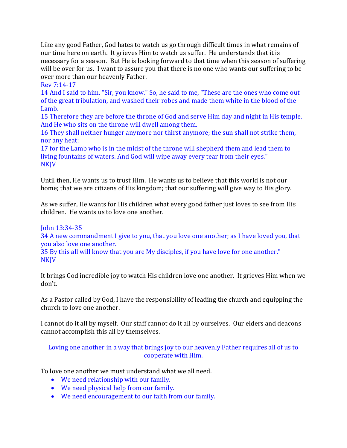Like any good Father, God hates to watch us go through difficult times in what remains of our time here on earth. It grieves Him to watch us suffer. He understands that it is necessary for a season. But He is looking forward to that time when this season of suffering will be over for us. I want to assure you that there is no one who wants our suffering to be over more than our heavenly Father.

#### Rev 7:14-17

14 And I said to him, "Sir, you know." So, he said to me, "These are the ones who come out of the great tribulation, and washed their robes and made them white in the blood of the Lamb.

15 Therefore they are before the throne of God and serve Him day and night in His temple. And He who sits on the throne will dwell among them.

16 They shall neither hunger anymore nor thirst anymore; the sun shall not strike them, nor any heat;

17 for the Lamb who is in the midst of the throne will shepherd them and lead them to living fountains of waters. And God will wipe away every tear from their eyes." NKJV

Until then, He wants us to trust Him. He wants us to believe that this world is not our home; that we are citizens of His kingdom; that our suffering will give way to His glory.

As we suffer, He wants for His children what every good father just loves to see from His children. He wants us to love one another.

#### John 13:34-35

34 A new commandment I give to you, that you love one another; as I have loved you, that you also love one another.

35 By this all will know that you are My disciples, if you have love for one another." NKJV

It brings God incredible joy to watch His children love one another. It grieves Him when we don't.

As a Pastor called by God, I have the responsibility of leading the church and equipping the church to love one another.

I cannot do it all by myself. Our staff cannot do it all by ourselves. Our elders and deacons cannot accomplish this all by themselves.

### Loving one another in a way that brings joy to our heavenly Father requires all of us to cooperate with Him.

To love one another we must understand what we all need.

- We need relationship with our family.
- We need physical help from our family.
- We need encouragement to our faith from our family.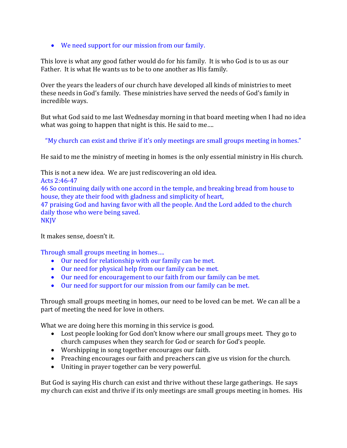• We need support for our mission from our family.

This love is what any good father would do for his family. It is who God is to us as our Father. It is what He wants us to be to one another as His family.

Over the years the leaders of our church have developed all kinds of ministries to meet these needs in God's family. These ministries have served the needs of God's family in incredible ways.

But what God said to me last Wednesday morning in that board meeting when I had no idea what was going to happen that night is this. He said to me….

"My church can exist and thrive if it's only meetings are small groups meeting in homes."

He said to me the ministry of meeting in homes is the only essential ministry in His church.

This is not a new idea. We are just rediscovering an old idea. Acts 2:46-47 46 So continuing daily with one accord in the temple, and breaking bread from house to house, they ate their food with gladness and simplicity of heart, 47 praising God and having favor with all the people. And the Lord added to the church daily those who were being saved. **NKJV** 

It makes sense, doesn't it.

Through small groups meeting in homes….

- Our need for relationship with our family can be met.
- Our need for physical help from our family can be met.
- Our need for encouragement to our faith from our family can be met.
- Our need for support for our mission from our family can be met.

Through small groups meeting in homes, our need to be loved can be met. We can all be a part of meeting the need for love in others.

What we are doing here this morning in this service is good.

- Lost people looking for God don't know where our small groups meet. They go to church campuses when they search for God or search for God's people.
- Worshipping in song together encourages our faith.
- Preaching encourages our faith and preachers can give us vision for the church.
- Uniting in prayer together can be very powerful.

But God is saying His church can exist and thrive without these large gatherings. He says my church can exist and thrive if its only meetings are small groups meeting in homes. His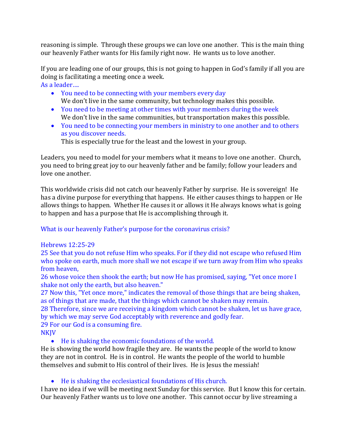reasoning is simple. Through these groups we can love one another. This is the main thing our heavenly Father wants for His family right now. He wants us to love another.

If you are leading one of our groups, this is not going to happen in God's family if all you are doing is facilitating a meeting once a week. As a leader….

- You need to be connecting with your members every day We don't live in the same community, but technology makes this possible.
- You need to be meeting at other times with your members during the week We don't live in the same communities, but transportation makes this possible.
- You need to be connecting your members in ministry to one another and to others as you discover needs.

This is especially true for the least and the lowest in your group.

Leaders, you need to model for your members what it means to love one another. Church, you need to bring great joy to our heavenly father and be family; follow your leaders and love one another.

This worldwide crisis did not catch our heavenly Father by surprise. He is sovereign! He has a divine purpose for everything that happens. He either causes things to happen or He allows things to happen. Whether He causes it or allows it He always knows what is going to happen and has a purpose that He is accomplishing through it.

What is our heavenly Father's purpose for the coronavirus crisis?

## Hebrews 12:25-29

25 See that you do not refuse Him who speaks. For if they did not escape who refused Him who spoke on earth, much more shall we not escape if we turn away from Him who speaks from heaven,

26 whose voice then shook the earth; but now He has promised, saying, "Yet once more I shake not only the earth, but also heaven."

27 Now this, "Yet once more," indicates the removal of those things that are being shaken, as of things that are made, that the things which cannot be shaken may remain.

28 Therefore, since we are receiving a kingdom which cannot be shaken, let us have grace, by which we may serve God acceptably with reverence and godly fear.

29 For our God is a consuming fire.

**NKJV** 

• He is shaking the economic foundations of the world.

He is showing the world how fragile they are. He wants the people of the world to know they are not in control. He is in control. He wants the people of the world to humble themselves and submit to His control of their lives. He is Jesus the messiah!

# • He is shaking the ecclesiastical foundations of His church.

I have no idea if we will be meeting next Sunday for this service. But I know this for certain. Our heavenly Father wants us to love one another. This cannot occur by live streaming a